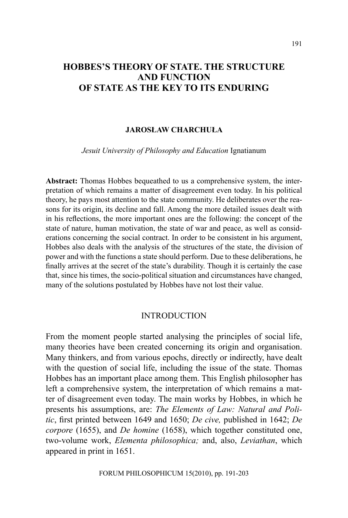# **HOBBES'S THEORY OF STATE. THE STRUCTURE AND FUNCTION OF STATE AS THE KEY TO ITS ENDURING**

#### **JAROSŁAW CHARCHUŁA**

*Jesuit University of Philosophy and Education* Ignatianum

**Abstract:** Thomas Hobbes bequeathed to us a comprehensive system, the interpretation of which remains a matter of disagreement even today. In his political theory, he pays most attention to the state community. He deliberates over the reasons for its origin, its decline and fall. Among the more detailed issues dealt with in his reflections, the more important ones are the following: the concept of the state of nature, human motivation, the state of war and peace, as well as considerations concerning the social contract. In order to be consistent in his argument, Hobbes also deals with the analysis of the structures of the state, the division of power and with the functions a state should perform. Due to these deliberations, he finally arrives at the secret of the state's durability. Though it is certainly the case that, since his times, the socio-political situation and circumstances have changed, many of the solutions postulated by Hobbes have not lost their value.

### INTRODUCTION

From the moment people started analysing the principles of social life, many theories have been created concerning its origin and organisation. Many thinkers, and from various epochs, directly or indirectly, have dealt with the question of social life, including the issue of the state. Thomas Hobbes has an important place among them. This English philosopher has left a comprehensive system, the interpretation of which remains a matter of disagreement even today. The main works by Hobbes, in which he presents his assumptions, are: *The Elements of Law: Natural and Politic*, first printed between 1649 and 1650; *De cive,* published in 1642; *De corpore* (1655), and *De homine* (1658), which together constituted one, two-volume work, *Elementa philosophica;* and, also, *Leviathan*, which appeared in print in 1651.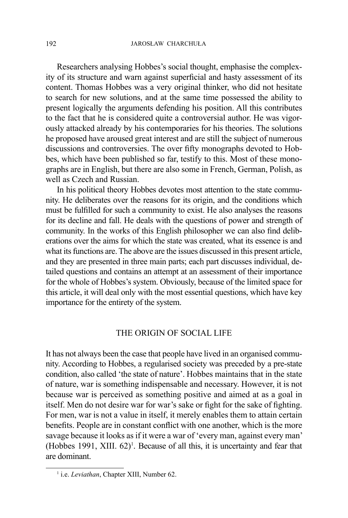Researchers analysing Hobbes's social thought, emphasise the complexity of its structure and warn against superficial and hasty assessment of its content. Thomas Hobbes was a very original thinker, who did not hesitate to search for new solutions, and at the same time possessed the ability to present logically the arguments defending his position. All this contributes to the fact that he is considered quite a controversial author. He was vigorously attacked already by his contemporaries for his theories. The solutions he proposed have aroused great interest and are still the subject of numerous discussions and controversies. The over fifty monographs devoted to Hobbes, which have been published so far, testify to this. Most of these monographs are in English, but there are also some in French, German, Polish, as well as Czech and Russian.

In his political theory Hobbes devotes most attention to the state community. He deliberates over the reasons for its origin, and the conditions which must be fulfilled for such a community to exist. He also analyses the reasons for its decline and fall. He deals with the questions of power and strength of community. In the works of this English philosopher we can also find deliberations over the aims for which the state was created, what its essence is and what its functions are. The above are the issues discussed in this present article, and they are presented in three main parts; each part discusses individual, detailed questions and contains an attempt at an assessment of their importance for the whole of Hobbes's system. Obviously, because of the limited space for this article, it will deal only with the most essential questions, which have key importance for the entirety of the system.

### THE ORIGIN OF SOCIAL LIFE

It has not always been the case that people have lived in an organised community. According to Hobbes, a regularised society was preceded by a pre-state condition, also called 'the state of nature'. Hobbes maintains that in the state of nature, war is something indispensable and necessary. However, it is not because war is perceived as something positive and aimed at as a goal in itself. Men do not desire war for war's sake or fight for the sake of fighting. For men, war is not a value in itself, it merely enables them to attain certain benefits. People are in constant conflict with one another, which is the more savage because it looks as if it were a war of 'every man, against every man'  $(Hobbes 1991, XIII. 62)<sup>1</sup>$ . Because of all this, it is uncertainty and fear that are dominant.

<sup>&</sup>lt;sup>1</sup> i.e. *Leviathan*, Chapter XIII, Number 62.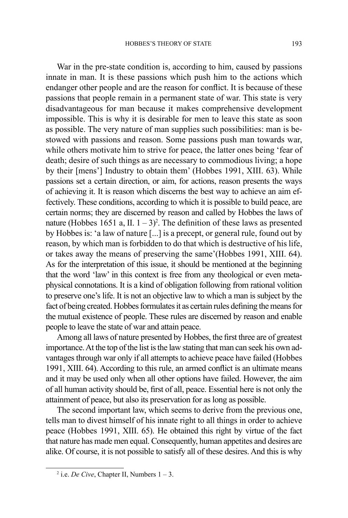War in the pre-state condition is, according to him, caused by passions innate in man. It is these passions which push him to the actions which endanger other people and are the reason for conflict. It is because of these passions that people remain in a permanent state of war. This state is very disadvantageous for man because it makes comprehensive development impossible. This is why it is desirable for men to leave this state as soon as possible. The very nature of man supplies such possibilities: man is bestowed with passions and reason. Some passions push man towards war, while others motivate him to strive for peace, the latter ones being 'fear of death; desire of such things as are necessary to commodious living; a hope by their [mens'] Industry to obtain them' (Hobbes 1991, XIII. 63). While passions set a certain direction, or aim, for actions, reason presents the ways of achieving it. It is reason which discerns the best way to achieve an aim effectively. These conditions, according to which it is possible to build peace, are certain norms; they are discerned by reason and called by Hobbes the laws of nature (Hobbes 1651 a, II.  $1 - 3$ )<sup>2</sup>. The definition of these laws as presented by Hobbes is: 'a law of nature [...] is a precept, or general rule, found out by reason, by which man is forbidden to do that which is destructive of his life, or takes away the means of preserving the same'(Hobbes 1991, XIII. 64). As for the interpretation of this issue, it should be mentioned at the beginning that the word 'law' in this context is free from any theological or even metaphysical connotations. It is a kind of obligation following from rational volition to preserve one's life. It is not an objective law to which a man is subject by the fact of being created. Hobbes formulates it as certain rules defining the means for the mutual existence of people. These rules are discerned by reason and enable people to leave the state of war and attain peace.

Among all laws of nature presented by Hobbes, the first three are of greatest importance. At the top of the list is the law stating that man can seek his own advantages through war only if all attempts to achieve peace have failed (Hobbes 1991, XIII. 64). According to this rule, an armed conflict is an ultimate means and it may be used only when all other options have failed. However, the aim of all human activity should be, first of all, peace. Essential here is not only the attainment of peace, but also its preservation for as long as possible.

The second important law, which seems to derive from the previous one, tells man to divest himself of his innate right to all things in order to achieve peace (Hobbes 1991, XIII. 65). He obtained this right by virtue of the fact that nature has made men equal. Consequently, human appetites and desires are alike. Of course, it is not possible to satisfy all of these desires. And this is why

<sup>2</sup> i.e. *De Cive*, Chapter II, Numbers 1 – 3.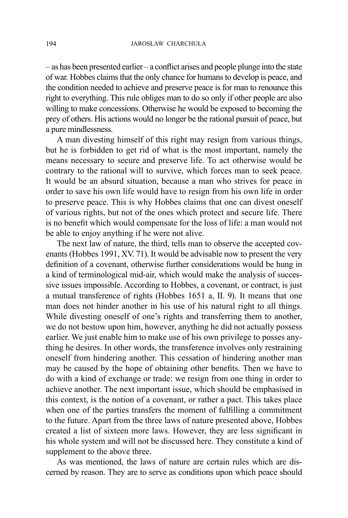– as has been presented earlier – a conflict arises and people plunge into the state of war. Hobbes claims that the only chance for humans to develop is peace, and the condition needed to achieve and preserve peace is for man to renounce this right to everything. This rule obliges man to do so only if other people are also willing to make concessions. Otherwise he would be exposed to becoming the prey of others. His actions would no longer be the rational pursuit of peace, but a pure mindlessness.

A man divesting himself of this right may resign from various things, but he is forbidden to get rid of what is the most important, namely the means necessary to secure and preserve life. To act otherwise would be contrary to the rational will to survive, which forces man to seek peace. It would be an absurd situation, because a man who strives for peace in order to save his own life would have to resign from his own life in order to preserve peace. This is why Hobbes claims that one can divest oneself of various rights, but not of the ones which protect and secure life. There is no benefit which would compensate for the loss of life: a man would not be able to enjoy anything if he were not alive.

The next law of nature, the third, tells man to observe the accepted covenants (Hobbes 1991, XV. 71). It would be advisable now to present the very definition of a covenant, otherwise further considerations would be hung in a kind of terminological mid-air, which would make the analysis of successive issues impossible. According to Hobbes, a covenant, or contract, is just a mutual transference of rights (Hobbes 1651 a, II. 9). It means that one man does not hinder another in his use of his natural right to all things. While divesting oneself of one's rights and transferring them to another, we do not bestow upon him, however, anything he did not actually possess earlier. We just enable him to make use of his own privilege to posses anything he desires. In other words, the transference involves only restraining oneself from hindering another. This cessation of hindering another man may be caused by the hope of obtaining other benefits. Then we have to do with a kind of exchange or trade: we resign from one thing in order to achieve another. The next important issue, which should be emphasised in this context, is the notion of a covenant, or rather a pact. This takes place when one of the parties transfers the moment of fulfilling a commitment to the future. Apart from the three laws of nature presented above, Hobbes created a list of sixteen more laws. However, they are less significant in his whole system and will not be discussed here. They constitute a kind of supplement to the above three.

As was mentioned, the laws of nature are certain rules which are discerned by reason. They are to serve as conditions upon which peace should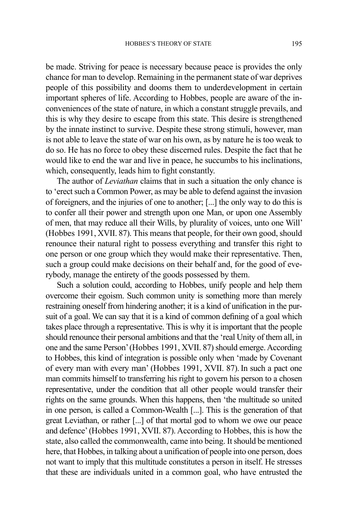be made. Striving for peace is necessary because peace is provides the only chance for man to develop. Remaining in the permanent state of war deprives people of this possibility and dooms them to underdevelopment in certain important spheres of life. According to Hobbes, people are aware of the inconveniences of the state of nature, in which a constant struggle prevails, and this is why they desire to escape from this state. This desire is strengthened by the innate instinct to survive. Despite these strong stimuli, however, man is not able to leave the state of war on his own, as by nature he is too weak to do so. He has no force to obey these discerned rules. Despite the fact that he would like to end the war and live in peace, he succumbs to his inclinations, which, consequently, leads him to fight constantly.

The author of *Leviathan* claims that in such a situation the only chance is to 'erect such a Common Power, as may be able to defend against the invasion of foreigners, and the injuries of one to another; [...] the only way to do this is to confer all their power and strength upon one Man, or upon one Assembly of men, that may reduce all their Wills, by plurality of voices, unto one Will' (Hobbes 1991, XVII. 87). This means that people, for their own good, should renounce their natural right to possess everything and transfer this right to one person or one group which they would make their representative. Then, such a group could make decisions on their behalf and, for the good of everybody, manage the entirety of the goods possessed by them.

Such a solution could, according to Hobbes, unify people and help them overcome their egoism. Such common unity is something more than merely restraining oneself from hindering another; it is a kind of unification in the pursuit of a goal. We can say that it is a kind of common defining of a goal which takes place through a representative. This is why it is important that the people should renounce their personal ambitions and that the 'real Unity of them all, in one and the same Person' (Hobbes 1991, XVII. 87) should emerge. According to Hobbes, this kind of integration is possible only when 'made by Covenant of every man with every man' (Hobbes 1991, XVII. 87).In such a pact one man commits himself to transferring his right to govern his person to a chosen representative, under the condition that all other people would transfer their rights on the same grounds. When this happens, then 'the multitude so united in one person, is called a Common-Wealth [...]. This is the generation of that great Leviathan, or rather [...] of that mortal god to whom we owe our peace and defence' (Hobbes 1991, XVII. 87). According to Hobbes, this is how the state, also called the commonwealth, came into being. It should be mentioned here, that Hobbes, in talking about a unification of people into one person, does not want to imply that this multitude constitutes a person in itself. He stresses that these are individuals united in a common goal, who have entrusted the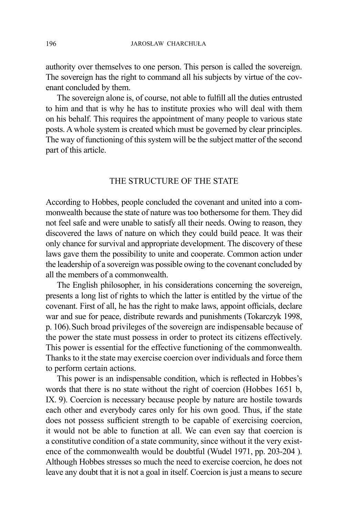authority over themselves to one person. This person is called the sovereign. The sovereign has the right to command all his subjects by virtue of the covenant concluded by them.

The sovereign alone is, of course, not able to fulfill all the duties entrusted to him and that is why he has to institute proxies who will deal with them on his behalf. This requires the appointment of many people to various state posts. A whole system is created which must be governed by clear principles. The way of functioning of this system will be the subject matter of the second part of this article.

## THE STRUCTURE OF THE STATE

According to Hobbes, people concluded the covenant and united into a commonwealth because the state of nature was too bothersome for them. They did not feel safe and were unable to satisfy all their needs. Owing to reason, they discovered the laws of nature on which they could build peace. It was their only chance for survival and appropriate development. The discovery of these laws gave them the possibility to unite and cooperate. Common action under the leadership of a sovereign was possible owing to the covenant concluded by all the members of a commonwealth.

The English philosopher, in his considerations concerning the sovereign, presents a long list of rights to which the latter is entitled by the virtue of the covenant. First of all, he has the right to make laws, appoint officials, declare war and sue for peace, distribute rewards and punishments (Tokarczyk 1998, p. 106).Such broad privileges of the sovereign are indispensable because of the power the state must possess in order to protect its citizens effectively. This power is essential for the effective functioning of the commonwealth. Thanks to it the state may exercise coercion over individuals and force them to perform certain actions.

This power is an indispensable condition, which is reflected in Hobbes's words that there is no state without the right of coercion (Hobbes 1651 b, IX. 9). Coercion is necessary because people by nature are hostile towards each other and everybody cares only for his own good. Thus, if the state does not possess sufficient strength to be capable of exercising coercion, it would not be able to function at all. We can even say that coercion is a constitutive condition of a state community, since without it the very existence of the commonwealth would be doubtful (Wudel 1971, pp. 203-204 ). Although Hobbes stresses so much the need to exercise coercion, he does not leave any doubt that it is not a goal in itself. Coercion is just a means to secure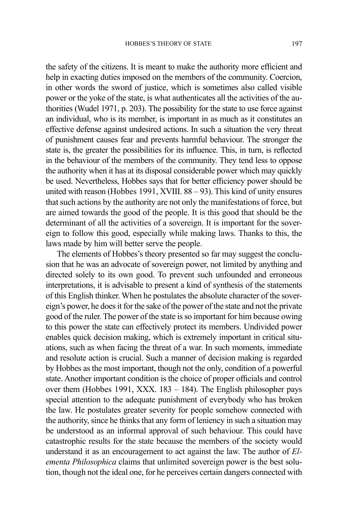the safety of the citizens. It is meant to make the authority more efficient and help in exacting duties imposed on the members of the community. Coercion, in other words the sword of justice, which is sometimes also called visible power or the yoke of the state, is what authenticates all the activities of the authorities (Wudel 1971, p. 203). The possibility for the state to use force against an individual, who is its member, is important in as much as it constitutes an effective defense against undesired actions. In such a situation the very threat of punishment causes fear and prevents harmful behaviour. The stronger the state is, the greater the possibilities for its influence. This, in turn, is reflected in the behaviour of the members of the community. They tend less to oppose the authority when it has at its disposal considerable power which may quickly be used. Nevertheless, Hobbes says that for better efficiency power should be united with reason (Hobbes 1991, XVIII. 88 – 93). This kind of unity ensures that such actions by the authority are not only the manifestations of force, but are aimed towards the good of the people. It is this good that should be the determinant of all the activities of a sovereign. It is important for the sovereign to follow this good, especially while making laws. Thanks to this, the laws made by him will better serve the people.

The elements of Hobbes's theory presented so far may suggest the conclusion that he was an advocate of sovereign power, not limited by anything and directed solely to its own good. To prevent such unfounded and erroneous interpretations, it is advisable to present a kind of synthesis of the statements of this English thinker. When he postulates the absolute character of the sovereign's power, he does it for the sake of the power of the state and not the private good of the ruler. The power of the state is so important for him because owing to this power the state can effectively protect its members. Undivided power enables quick decision making, which is extremely important in critical situations, such as when facing the threat of a war. In such moments, immediate and resolute action is crucial. Such a manner of decision making is regarded by Hobbes as the most important, though not the only, condition of a powerful state. Another important condition is the choice of proper officials and control over them (Hobbes 1991, XXX. 183 – 184). The English philosopher pays special attention to the adequate punishment of everybody who has broken the law. He postulates greater severity for people somehow connected with the authority, since he thinks that any form of leniency in such a situation may be understood as an informal approval of such behaviour. This could have catastrophic results for the state because the members of the society would understand it as an encouragement to act against the law. The author of *Elementa Philosophica* claims that unlimited sovereign power is the best solution, though not the ideal one, for he perceives certain dangers connected with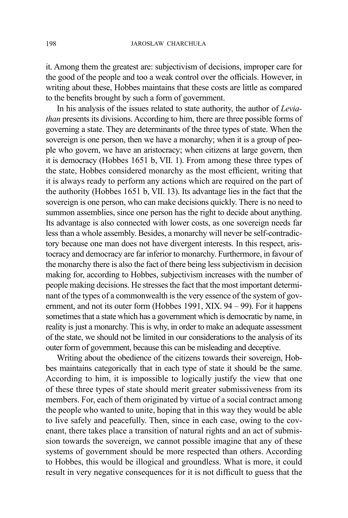it. Among them the greatest are: subjectivism of decisions, improper care for the good of the people and too a weak control over the officials. However, in writing about these, Hobbes maintains that these costs are little as compared to the benefits brought by such a form of government.

In his analysis of the issues related to state authority, the author of *Leviathan* presents its divisions. According to him, there are three possible forms of governing a state. They are determinants of the three types of state. When the sovereign is one person, then we have a monarchy; when it is a group of people who govern, we have an aristocracy; when citizens at large govern, then it is democracy (Hobbes 1651 b, VII. 1). From among these three types of the state, Hobbes considered monarchy as the most efficient, writing that it is always ready to perform any actions which are required on the part of the authority (Hobbes 1651 b, VII. 13). Its advantage lies in the fact that the sovereign is one person, who can make decisions quickly. There is no need to summon assemblies, since one person has the right to decide about anything. Its advantage is also connected with lower costs, as one sovereign needs far less than a whole assembly. Besides, a monarchy will never be self-contradictory because one man does not have divergent interests. In this respect, aristocracy and democracy are far inferior to monarchy. Furthermore, in favour of the monarchy there is also the fact of there being less subjectivism in decision making for, according to Hobbes, subjectivism increases with the number of people making decisions. He stresses the fact that the most important determinant of the types of a commonwealth is the very essence of the system of government, and not its outer form (Hobbes 1991, XIX. 94 – 99). For it happens sometimes that a state which has a government which is democratic by name, in reality is just a monarchy. This is why, in order to make an adequate assessment of the state, we should not be limited in our considerations to the analysis of its outer form of government, because this can be misleading and deceptive.

Writing about the obedience of the citizens towards their sovereign, Hobbes maintains categorically that in each type of state it should be the same. According to him, it is impossible to logically justify the view that one of these three types of state should merit greater submissiveness from its members. For, each of them originated by virtue of a social contract among the people who wanted to unite, hoping that in this way they would be able to live safely and peacefully. Then, since in each case, owing to the covenant, there takes place a transition of natural rights and an act of submission towards the sovereign, we cannot possible imagine that any of these systems of government should be more respected than others. According to Hobbes, this would be illogical and groundless. What is more, it could result in very negative consequences for it is not difficult to guess that the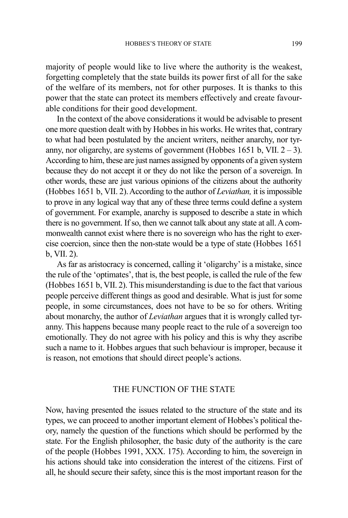majority of people would like to live where the authority is the weakest, forgetting completely that the state builds its power first of all for the sake of the welfare of its members, not for other purposes. It is thanks to this power that the state can protect its members effectively and create favourable conditions for their good development.

In the context of the above considerations it would be advisable to present one more question dealt with by Hobbes in his works. He writes that, contrary to what had been postulated by the ancient writers, neither anarchy, nor tyranny, nor oligarchy, are systems of government (Hobbes 1651 b, VII.  $2 - 3$ ). According to him, these are just names assigned by opponents of a given system because they do not accept it or they do not like the person of a sovereign. In other words, these are just various opinions of the citizens about the authority (Hobbes 1651 b, VII. 2). According to the author of *Leviathan,* it is impossible to prove in any logical way that any of these three terms could define a system of government. For example, anarchy is supposed to describe a state in which there is no government. If so, then we cannot talk about any state at all. A commonwealth cannot exist where there is no sovereign who has the right to exercise coercion, since then the non-state would be a type of state (Hobbes 1651 b, VII. 2).

As far as aristocracy is concerned, calling it 'oligarchy' is a mistake, since the rule of the 'optimates', that is, the best people, is called the rule of the few (Hobbes 1651 b, VII. 2). This misunderstanding is due to the fact that various people perceive different things as good and desirable. What is just for some people, in some circumstances, does not have to be so for others. Writing about monarchy, the author of *Leviathan* argues that it is wrongly called tyranny. This happens because many people react to the rule of a sovereign too emotionally. They do not agree with his policy and this is why they ascribe such a name to it. Hobbes argues that such behaviour is improper, because it is reason, not emotions that should direct people's actions.

# THE FUNCTION OF THE STATE

Now, having presented the issues related to the structure of the state and its types, we can proceed to another important element of Hobbes's political theory, namely the question of the functions which should be performed by the state. For the English philosopher, the basic duty of the authority is the care of the people (Hobbes 1991, XXX. 175). According to him, the sovereign in his actions should take into consideration the interest of the citizens. First of all, he should secure their safety, since this is the most important reason for the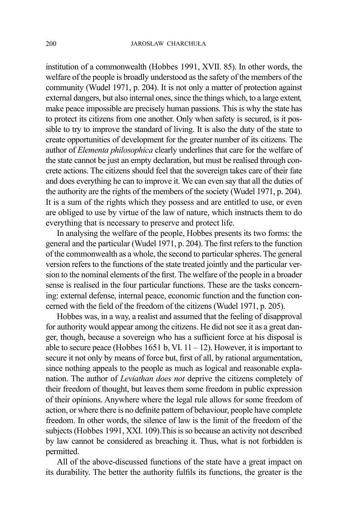institution of a commonwealth (Hobbes 1991, XVII. 85). In other words, the welfare of the people is broadly understood as the safety of the members of the community (Wudel 1971, p. 204). It is not only a matter of protection against external dangers, but also internal ones, since the things which, to a large extent*,*  make peace impossible are precisely human passions. This is why the state has to protect its citizens from one another. Only when safety is secured, is it possible to try to improve the standard of living. It is also the duty of the state to create opportunities of development for the greater number of its citizens. The author of *Elementa philosophica* clearly underlines that care for the welfare of the state cannot be just an empty declaration, but must be realised through concrete actions. The citizens should feel that the sovereign takes care of their fate and does everything he can to improve it. We can even say that all the duties of the authority are the rights of the members of the society (Wudel 1971, p. 204). It is a sum of the rights which they possess and are entitled to use, or even are obliged to use by virtue of the law of nature, which instructs them to do everything that is necessary to preserve and protect life.

In analysing the welfare of the people, Hobbes presents its two forms: the general and the particular (Wudel 1971, p. 204). The first refers to the function of the commonwealth as a whole, the second to particular spheres. The general version refers to the functions of the state treated jointly and the particular version to the nominal elements of the first. The welfare of the people in a broader sense is realised in the four particular functions. These are the tasks concerning: external defense, internal peace, economic function and the function concerned with the field of the freedom of the citizens (Wudel 1971, p. 205).

Hobbes was, in a way, a realist and assumed that the feeling of disapproval for authority would appear among the citizens. He did not see it as a great danger, though, because a sovereign who has a sufficient force at his disposal is able to secure peace (Hobbes 1651 b, VI.  $11 - 12$ ). However, it is important to secure it not only by means of force but, first of all, by rational argumentation, since nothing appeals to the people as much as logical and reasonable explanation. The author of *Leviathan does not* deprive the citizens completely of their freedom of thought, but leaves them some freedom in public expression of their opinions. Anywhere where the legal rule allows for some freedom of action, or where there is no definite pattern of behaviour, people have complete freedom. In other words, the silence of law is the limit of the freedom of the subjects (Hobbes 1991, XXI. 109).This is so because an activity not described by law cannot be considered as breaching it. Thus, what is not forbidden is permitted.

All of the above-discussed functions of the state have a great impact on its durability. The better the authority fulfils its functions, the greater is the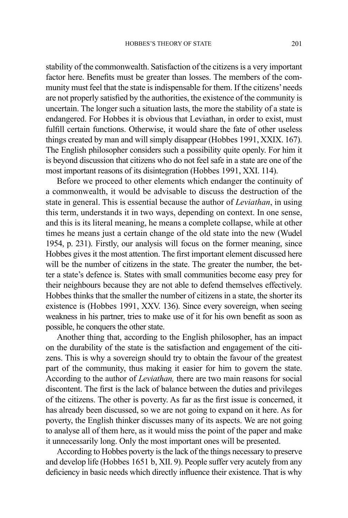stability of the commonwealth. Satisfaction of the citizens is a very important factor here. Benefits must be greater than losses. The members of the community must feel that the state is indispensable for them. If the citizens' needs are not properly satisfied by the authorities, the existence of the community is uncertain. The longer such a situation lasts, the more the stability of a state is endangered. For Hobbes it is obvious that Leviathan, in order to exist, must fulfill certain functions. Otherwise, it would share the fate of other useless things created by man and will simply disappear (Hobbes 1991, XXIX. 167). The English philosopher considers such a possibility quite openly. For him it is beyond discussion that citizens who do not feel safe in a state are one of the most important reasons of its disintegration (Hobbes 1991, XXI. 114).

Before we proceed to other elements which endanger the continuity of a commonwealth, it would be advisable to discuss the destruction of the state in general. This is essential because the author of *Leviathan*, in using this term, understands it in two ways, depending on context. In one sense, and this is its literal meaning, he means a complete collapse, while at other times he means just a certain change of the old state into the new (Wudel 1954, p. 231). Firstly, our analysis will focus on the former meaning, since Hobbes gives it the most attention. The first important element discussed here will be the number of citizens in the state. The greater the number, the better a state's defence is. States with small communities become easy prey for their neighbours because they are not able to defend themselves effectively. Hobbes thinks that the smaller the number of citizens in a state, the shorter its existence is (Hobbes 1991, XXV. 136). Since every sovereign, when seeing weakness in his partner, tries to make use of it for his own benefit as soon as possible, he conquers the other state.

Another thing that, according to the English philosopher, has an impact on the durability of the state is the satisfaction and engagement of the citizens. This is why a sovereign should try to obtain the favour of the greatest part of the community, thus making it easier for him to govern the state. According to the author of *Leviathan,* there are two main reasons for social discontent. The first is the lack of balance between the duties and privileges of the citizens. The other is poverty. As far as the first issue is concerned, it has already been discussed, so we are not going to expand on it here. As for poverty, the English thinker discusses many of its aspects. We are not going to analyse all of them here, as it would miss the point of the paper and make it unnecessarily long. Only the most important ones will be presented.

According to Hobbes poverty is the lack of the things necessary to preserve and develop life (Hobbes 1651 b, XII. 9). People suffer very acutely from any deficiency in basic needs which directly influence their existence. That is why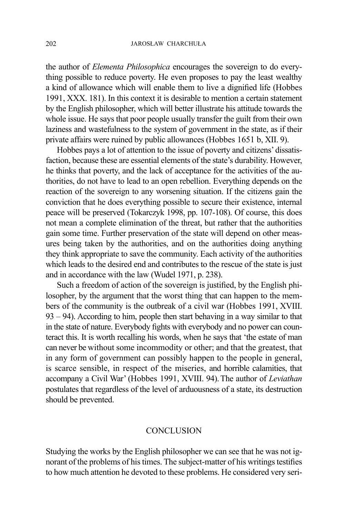the author of *Elementa Philosophica* encourages the sovereign to do everything possible to reduce poverty. He even proposes to pay the least wealthy a kind of allowance which will enable them to live a dignified life (Hobbes 1991, XXX. 181). In this context it is desirable to mention a certain statement by the English philosopher, which will better illustrate his attitude towards the whole issue. He says that poor people usually transfer the guilt from their own laziness and wastefulness to the system of government in the state, as if their private affairs were ruined by public allowances (Hobbes 1651 b, XII. 9).

Hobbes pays a lot of attention to the issue of poverty and citizens' dissatisfaction, because these are essential elements of the state's durability. However, he thinks that poverty, and the lack of acceptance for the activities of the authorities, do not have to lead to an open rebellion. Everything depends on the reaction of the sovereign to any worsening situation. If the citizens gain the conviction that he does everything possible to secure their existence, internal peace will be preserved (Tokarczyk 1998, pp. 107-108). Of course, this does not mean a complete elimination of the threat, but rather that the authorities gain some time. Further preservation of the state will depend on other measures being taken by the authorities, and on the authorities doing anything they think appropriate to save the community. Each activity of the authorities which leads to the desired end and contributes to the rescue of the state is just and in accordance with the law (Wudel 1971, p. 238).

Such a freedom of action of the sovereign is justified, by the English philosopher, by the argument that the worst thing that can happen to the members of the community is the outbreak of a civil war (Hobbes 1991, XVIII. 93 – 94). According to him, people then start behaving in a way similar to that in the state of nature. Everybody fights with everybody and no power can counteract this. It is worth recalling his words, when he says that 'the estate of man can never be without some incommodity or other; and that the greatest, that in any form of government can possibly happen to the people in general, is scarce sensible, in respect of the miseries, and horrible calamities, that accompany a Civil War' (Hobbes 1991, XVIII. 94).The author of *Leviathan*  postulates that regardless of the level of arduousness of a state, its destruction should be prevented.

### CONCLUSION

Studying the works by the English philosopher we can see that he was not ignorant of the problems of his times. The subject-matter of his writings testifies to how much attention he devoted to these problems. He considered very seri